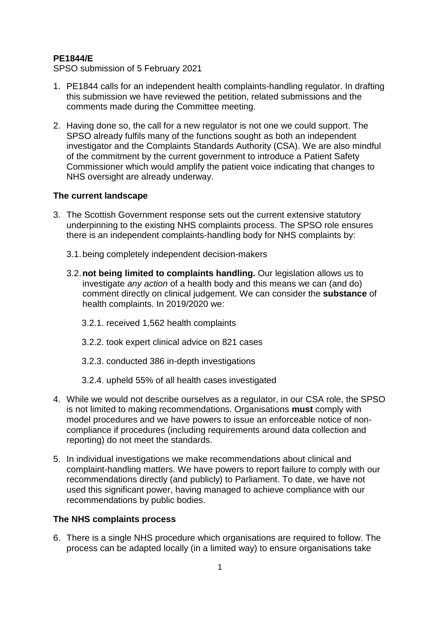## **PE1844/E**

SPSO submission of 5 February 2021

- 1. PE1844 calls for an independent health complaints-handling regulator. In drafting this submission we have reviewed the petition, related submissions and the comments made during the Committee meeting.
- 2. Having done so, the call for a new regulator is not one we could support. The SPSO already fulfils many of the functions sought as both an independent investigator and the Complaints Standards Authority (CSA). We are also mindful of the commitment by the current government to introduce a Patient Safety Commissioner which would amplify the patient voice indicating that changes to NHS oversight are already underway.

## **The current landscape**

- 3. The Scottish Government response sets out the current extensive statutory underpinning to the existing NHS complaints process. The SPSO role ensures there is an independent complaints-handling body for NHS complaints by:
	- 3.1.being completely independent decision-makers
	- 3.2.**not being limited to complaints handling.** Our legislation allows us to investigate *any action* of a health body and this means we can (and do) comment directly on clinical judgement. We can consider the **substance** of health complaints. In 2019/2020 we:
		- 3.2.1. received 1,562 health complaints
		- 3.2.2. took expert clinical advice on 821 cases
		- 3.2.3. conducted 386 in-depth investigations
		- 3.2.4. upheld 55% of all health cases investigated
- 4. While we would not describe ourselves as a regulator, in our CSA role, the SPSO is not limited to making recommendations. Organisations **must** comply with model procedures and we have powers to issue an enforceable notice of noncompliance if procedures (including requirements around data collection and reporting) do not meet the standards.
- 5. In individual investigations we make recommendations about clinical and complaint-handling matters. We have powers to report failure to comply with our recommendations directly (and publicly) to Parliament. To date, we have not used this significant power, having managed to achieve compliance with our recommendations by public bodies.

## **The NHS complaints process**

6. There is a single NHS procedure which organisations are required to follow. The process can be adapted locally (in a limited way) to ensure organisations take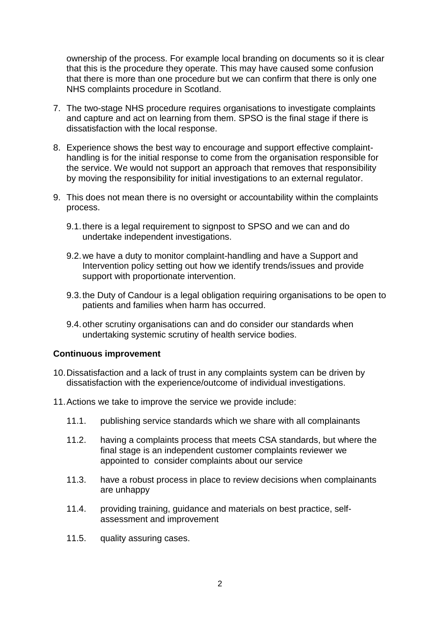ownership of the process. For example local branding on documents so it is clear that this is the procedure they operate. This may have caused some confusion that there is more than one procedure but we can confirm that there is only one NHS complaints procedure in Scotland.

- 7. The two-stage NHS procedure requires organisations to investigate complaints and capture and act on learning from them. SPSO is the final stage if there is dissatisfaction with the local response.
- 8. Experience shows the best way to encourage and support effective complainthandling is for the initial response to come from the organisation responsible for the service. We would not support an approach that removes that responsibility by moving the responsibility for initial investigations to an external regulator.
- 9. This does not mean there is no oversight or accountability within the complaints process.
	- 9.1.there is a legal requirement to signpost to SPSO and we can and do undertake independent investigations.
	- 9.2.we have a duty to monitor complaint-handling and have a Support and Intervention policy setting out how we identify trends/issues and provide support with proportionate intervention.
	- 9.3.the Duty of Candour is a legal obligation requiring organisations to be open to patients and families when harm has occurred.
	- 9.4.other scrutiny organisations can and do consider our standards when undertaking systemic scrutiny of health service bodies.

## **Continuous improvement**

- 10.Dissatisfaction and a lack of trust in any complaints system can be driven by dissatisfaction with the experience/outcome of individual investigations.
- 11.Actions we take to improve the service we provide include:
	- 11.1. publishing service standards which we share with all complainants
	- 11.2. having a complaints process that meets CSA standards, but where the final stage is an independent customer complaints reviewer we appointed to consider complaints about our service
	- 11.3. have a robust process in place to review decisions when complainants are unhappy
	- 11.4. providing training, guidance and materials on best practice, selfassessment and improvement
	- 11.5. quality assuring cases.